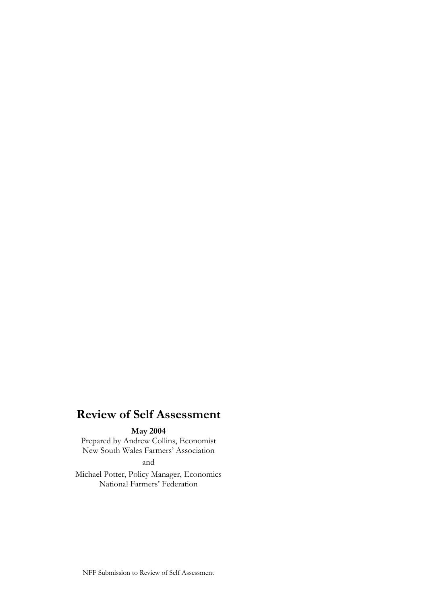# **Review of Self Assessment**

#### **May 2004**

Prepared by Andrew Collins, Economist New South Wales Farmers' Association

and

Michael Potter, Policy Manager, Economics National Farmers' Federation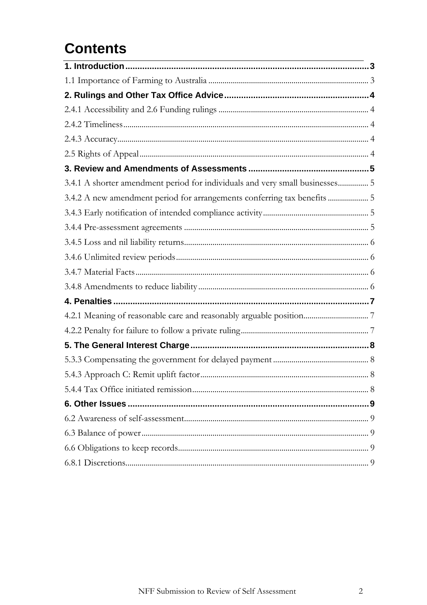# **Contents**

| 3.4.1 A shorter amendment period for individuals and very small businesses 5 |  |
|------------------------------------------------------------------------------|--|
| 3.4.2 A new amendment period for arrangements conferring tax benefits  5     |  |
|                                                                              |  |
|                                                                              |  |
|                                                                              |  |
|                                                                              |  |
|                                                                              |  |
|                                                                              |  |
|                                                                              |  |
|                                                                              |  |
|                                                                              |  |
|                                                                              |  |
|                                                                              |  |
|                                                                              |  |
|                                                                              |  |
|                                                                              |  |
|                                                                              |  |
|                                                                              |  |
|                                                                              |  |
|                                                                              |  |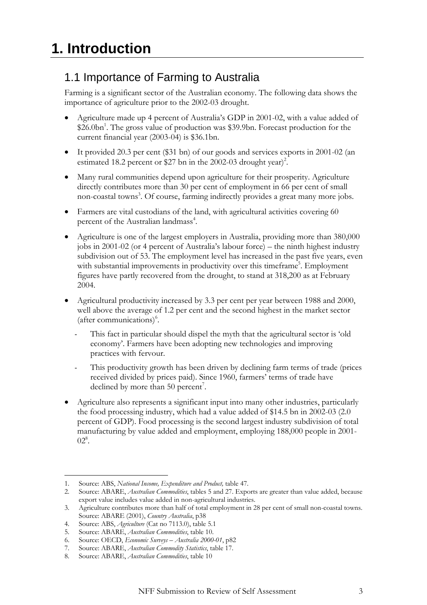### <span id="page-2-0"></span>1.1 Importance of Farming to Australia

Farming is a significant sector of the Australian economy. The following data shows the importance of agriculture prior to the 2002-03 drought.

- Agriculture made up 4 percent of Australia's GDP in 2001-02, with a value added of \$26.0bn<sup>[1](#page-2-1)</sup>. The gross value of production was \$39.9bn. Forecast production for the current financial year (2003-04) is \$36.1bn.
- It provided 20.3 per cent (\$31 bn) of our goods and services exports in 2001-02 (an estimated 18.2 percent or \$27 bn in the 2002-03 drought year)<sup>2</sup>.
- Many rural communities depend upon agriculture for their prosperity. Agriculture directly contributes more than 30 per cent of employment in 66 per cent of small non-coastal towns<sup>[3](#page-2-3)</sup>. Of course, farming indirectly provides a great many more jobs.
- Farmers are vital custodians of the land, with agricultural activities covering 60 percent of the Australian landmass<sup>[4](#page-2-4)</sup>.
- Agriculture is one of the largest employers in Australia, providing more than 380,000 jobs in 2001-02 (or 4 percent of Australia's labour force) – the ninth highest industry subdivision out of 53. The employment level has increased in the past five years, even with substantial improvements in productivity over this timeframe<sup>5</sup>. Employment figures have partly recovered from the drought, to stand at 318,200 as at February 2004.
- Agricultural productivity increased by 3.3 per cent per year between 1988 and 2000, well above the average of 1.2 per cent and the second highest in the market sector (after communications)<sup>6</sup>.
	- This fact in particular should dispel the myth that the agricultural sector is 'old economy'. Farmers have been adopting new technologies and improving practices with fervour.
	- This productivity growth has been driven by declining farm terms of trade (prices received divided by prices paid). Since 1960, farmers' terms of trade have declined by more than 50 percent<sup>[7](#page-2-7)</sup>.
- Agriculture also represents a significant input into many other industries, particularly the food processing industry, which had a value added of \$14.5 bn in 2002-03 (2.0 percent of GDP). Food processing is the second largest industry subdivision of total manufacturing by value added and employment, employing 188,000 people in 2001-  $02^8$ .

 $\overline{a}$ 

<span id="page-2-1"></span><sup>1.</sup> Source: ABS, *National Income, Expenditure and Product,* table 47.

<span id="page-2-2"></span><sup>2.</sup> Source: ABARE, *Australian Commodities*, tables 5 and 27. Exports are greater than value added, because export value includes value added in non-agricultural industries.

<span id="page-2-3"></span><sup>3.</sup> Agriculture contributes more than half of total employment in 28 per cent of small non-coastal towns. Source: ABARE (2001), *Country Australia*, p38

<span id="page-2-4"></span><sup>4.</sup> Source: ABS, *Agriculture* (Cat no 7113.0), table 5.1

<span id="page-2-5"></span><sup>5.</sup> Source: ABARE, *Australian Commodities*, table 10.

<span id="page-2-6"></span><sup>6.</sup> Source: OECD, *Economic Surveys – Australia 2000-01*, p82

<span id="page-2-7"></span><sup>7.</sup> Source: ABARE, *Australian Commodity Statistics*, table 17.

<span id="page-2-8"></span><sup>8.</sup> Source: ABARE, *Australian Commodities*, table 10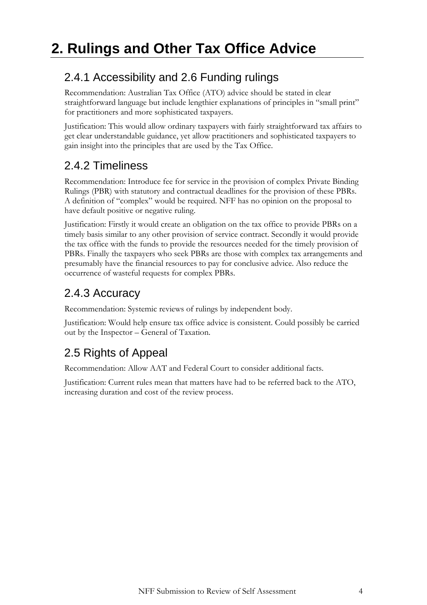### <span id="page-3-0"></span>2.4.1 Accessibility and 2.6 Funding rulings

Recommendation: Australian Tax Office (ATO) advice should be stated in clear straightforward language but include lengthier explanations of principles in "small print" for practitioners and more sophisticated taxpayers.

Justification: This would allow ordinary taxpayers with fairly straightforward tax affairs to get clear understandable guidance, yet allow practitioners and sophisticated taxpayers to gain insight into the principles that are used by the Tax Office.

## 2.4.2 Timeliness

Recommendation: Introduce fee for service in the provision of complex Private Binding Rulings (PBR) with statutory and contractual deadlines for the provision of these PBRs. A definition of "complex" would be required. NFF has no opinion on the proposal to have default positive or negative ruling.

Justification: Firstly it would create an obligation on the tax office to provide PBRs on a timely basis similar to any other provision of service contract. Secondly it would provide the tax office with the funds to provide the resources needed for the timely provision of PBRs. Finally the taxpayers who seek PBRs are those with complex tax arrangements and presumably have the financial resources to pay for conclusive advice. Also reduce the occurrence of wasteful requests for complex PBRs.

# 2.4.3 Accuracy

Recommendation: Systemic reviews of rulings by independent body.

Justification: Would help ensure tax office advice is consistent. Could possibly be carried out by the Inspector – General of Taxation.

# 2.5 Rights of Appeal

Recommendation: Allow AAT and Federal Court to consider additional facts.

Justification: Current rules mean that matters have had to be referred back to the ATO, increasing duration and cost of the review process.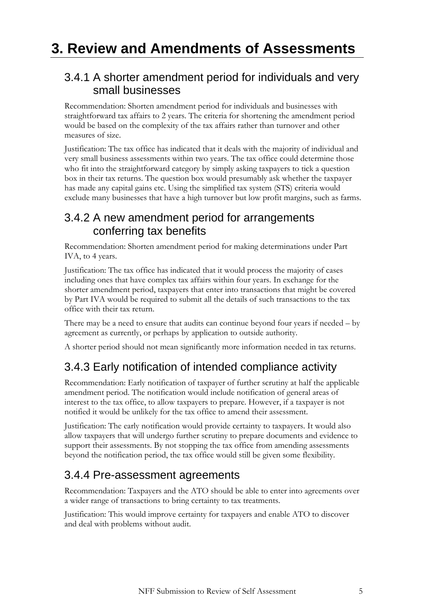# <span id="page-4-0"></span>**3. Review and Amendments of Assessments**

#### 3.4.1 A shorter amendment period for individuals and very small businesses

Recommendation: Shorten amendment period for individuals and businesses with straightforward tax affairs to 2 years. The criteria for shortening the amendment period would be based on the complexity of the tax affairs rather than turnover and other measures of size.

Justification: The tax office has indicated that it deals with the majority of individual and very small business assessments within two years. The tax office could determine those who fit into the straightforward category by simply asking taxpayers to tick a question box in their tax returns. The question box would presumably ask whether the taxpayer has made any capital gains etc. Using the simplified tax system (STS) criteria would exclude many businesses that have a high turnover but low profit margins, such as farms.

#### 3.4.2 A new amendment period for arrangements conferring tax benefits

Recommendation: Shorten amendment period for making determinations under Part IVA, to 4 years.

Justification: The tax office has indicated that it would process the majority of cases including ones that have complex tax affairs within four years. In exchange for the shorter amendment period, taxpayers that enter into transactions that might be covered by Part IVA would be required to submit all the details of such transactions to the tax office with their tax return.

There may be a need to ensure that audits can continue beyond four years if needed – by agreement as currently, or perhaps by application to outside authority.

A shorter period should not mean significantly more information needed in tax returns.

#### 3.4.3 Early notification of intended compliance activity

Recommendation: Early notification of taxpayer of further scrutiny at half the applicable amendment period. The notification would include notification of general areas of interest to the tax office, to allow taxpayers to prepare. However, if a taxpayer is not notified it would be unlikely for the tax office to amend their assessment.

Justification: The early notification would provide certainty to taxpayers. It would also allow taxpayers that will undergo further scrutiny to prepare documents and evidence to support their assessments. By not stopping the tax office from amending assessments beyond the notification period, the tax office would still be given some flexibility.

#### 3.4.4 Pre-assessment agreements

Recommendation: Taxpayers and the ATO should be able to enter into agreements over a wider range of transactions to bring certainty to tax treatments.

Justification: This would improve certainty for taxpayers and enable ATO to discover and deal with problems without audit.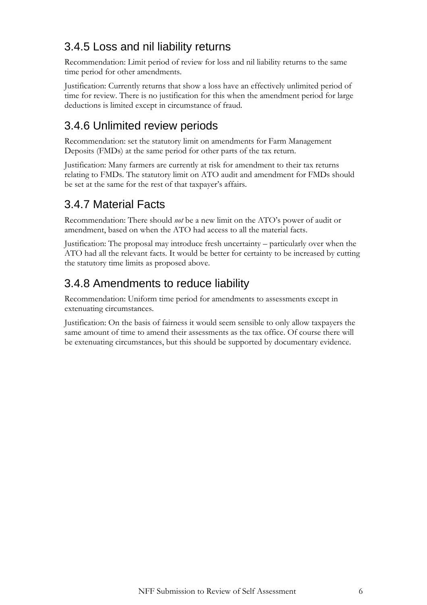# <span id="page-5-0"></span>3.4.5 Loss and nil liability returns

Recommendation: Limit period of review for loss and nil liability returns to the same time period for other amendments.

Justification: Currently returns that show a loss have an effectively unlimited period of time for review. There is no justification for this when the amendment period for large deductions is limited except in circumstance of fraud.

#### 3.4.6 Unlimited review periods

Recommendation: set the statutory limit on amendments for Farm Management Deposits (FMDs) at the same period for other parts of the tax return.

Justification: Many farmers are currently at risk for amendment to their tax returns relating to FMDs. The statutory limit on ATO audit and amendment for FMDs should be set at the same for the rest of that taxpayer's affairs.

#### 3.4.7 Material Facts

Recommendation: There should *not* be a new limit on the ATO's power of audit or amendment, based on when the ATO had access to all the material facts.

Justification: The proposal may introduce fresh uncertainty – particularly over when the ATO had all the relevant facts. It would be better for certainty to be increased by cutting the statutory time limits as proposed above.

#### 3.4.8 Amendments to reduce liability

Recommendation: Uniform time period for amendments to assessments except in extenuating circumstances.

Justification: On the basis of fairness it would seem sensible to only allow taxpayers the same amount of time to amend their assessments as the tax office. Of course there will be extenuating circumstances, but this should be supported by documentary evidence.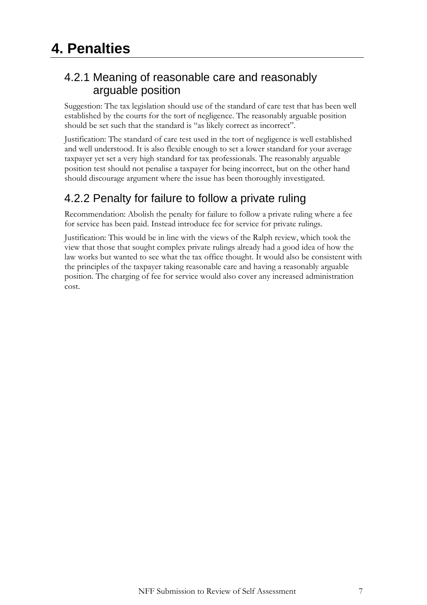#### <span id="page-6-0"></span>4.2.1 Meaning of reasonable care and reasonably arguable position

Suggestion: The tax legislation should use of the standard of care test that has been well established by the courts for the tort of negligence. The reasonably arguable position should be set such that the standard is "as likely correct as incorrect".

Justification: The standard of care test used in the tort of negligence is well established and well understood. It is also flexible enough to set a lower standard for your average taxpayer yet set a very high standard for tax professionals. The reasonably arguable position test should not penalise a taxpayer for being incorrect, but on the other hand should discourage argument where the issue has been thoroughly investigated.

## 4.2.2 Penalty for failure to follow a private ruling

Recommendation: Abolish the penalty for failure to follow a private ruling where a fee for service has been paid. Instead introduce fee for service for private rulings.

Justification: This would be in line with the views of the Ralph review, which took the view that those that sought complex private rulings already had a good idea of how the law works but wanted to see what the tax office thought. It would also be consistent with the principles of the taxpayer taking reasonable care and having a reasonably arguable position. The charging of fee for service would also cover any increased administration cost.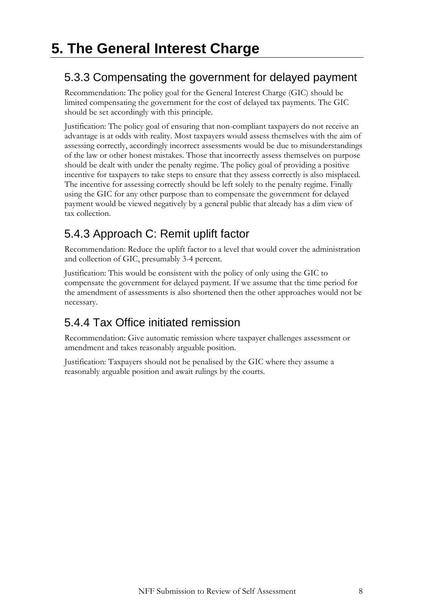#### <span id="page-7-0"></span>5.3.3 Compensating the government for delayed payment

Recommendation: The policy goal for the General Interest Charge (GIC) should be limited compensating the government for the cost of delayed tax payments. The GIC should be set accordingly with this principle.

Justification: The policy goal of ensuring that non-compliant taxpayers do not receive an advantage is at odds with reality. Most taxpayers would assess themselves with the aim of assessing correctly, accordingly incorrect assessments would be due to misunderstandings of the law or other honest mistakes. Those that incorrectly assess themselves on purpose should be dealt with under the penalty regime. The policy goal of providing a positive incentive for taxpayers to take steps to ensure that they assess correctly is also misplaced. The incentive for assessing correctly should be left solely to the penalty regime. Finally using the GIC for any other purpose than to compensate the government for delayed payment would be viewed negatively by a general public that already has a dim view of tax collection.

# 5.4.3 Approach C: Remit uplift factor

Recommendation: Reduce the uplift factor to a level that would cover the administration and collection of GIC, presumably 3-4 percent.

Justification: This would be consistent with the policy of only using the GIC to compensate the government for delayed payment. If we assume that the time period for the amendment of assessments is also shortened then the other approaches would not be necessary.

# 5.4.4 Tax Office initiated remission

Recommendation: Give automatic remission where taxpayer challenges assessment or amendment and takes reasonably arguable position.

Justification: Taxpayers should not be penalised by the GIC where they assume a reasonably arguable position and await rulings by the courts.